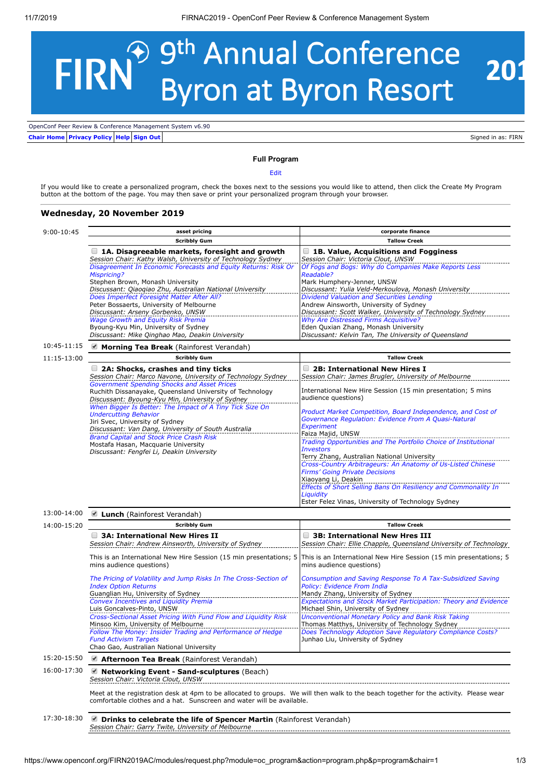## 9<sup>th</sup> Annual Conference<br>Byron at Byron Resort **FIRN®** 201

**[Chair Home](https://www.openconf.org/FIRN2019AC/chair/) [Privacy Policy](https://www.openconf.org/FIRN2019AC/author/privacy.php?f=1) [Help](https://www.openconf.com/support/) [Sign Out](https://www.openconf.org/FIRN2019AC/chair/signout.php)** OpenConf Peer Review & Conference Management System v6.90

Signed in as: FIRN

## **Full Program**

[Edit](https://www.openconf.org/FIRN2019AC/modules/request.php?module=oc_program&action=sessions.php)

If you would like to create a personalized program, check the boxes next to the sessions you would like to attend, then click the Create My Program button at the bottom of the page. You may then save or print your personalized program through your browser.

## **Wednesday, 20 November 2019**

| $9:00-10:45$ | asset pricing                                                                                                                                                                                                  | corporate finance                                                                                                                                 |  |
|--------------|----------------------------------------------------------------------------------------------------------------------------------------------------------------------------------------------------------------|---------------------------------------------------------------------------------------------------------------------------------------------------|--|
|              | <b>Scribbly Gum</b>                                                                                                                                                                                            | <b>Tallow Creek</b>                                                                                                                               |  |
|              | $\Box$ 1A. Disagreeable markets, foresight and growth<br>Session Chair: Kathy Walsh, University of Technology Sydney                                                                                           | $\Box$ 1B. Value, Acquisitions and Fogginess<br>Session Chair: Victoria Clout, UNSW                                                               |  |
|              | Disagreement In Economic Forecasts and Equity Returns: Risk Or<br><b>Mispricing?</b><br>Stephen Brown, Monash University                                                                                       | Of Fogs and Bogs: Why do Companies Make Reports Less<br>Readable?<br>Mark Humphery-Jenner, UNSW                                                   |  |
|              | Discussant: Qiaoqiao Zhu, Australian National University                                                                                                                                                       | Discussant: Yulia Veld-Merkoulova, Monash University                                                                                              |  |
|              | Does Imperfect Foresight Matter After All?<br>Peter Bossaerts, University of Melbourne<br>Discussant: Arseny Gorbenko, UNSW                                                                                    | Dividend Valuation and Securities Lending<br>Andrew Ainsworth, University of Sydney<br>Discussant: Scott Walker, University of Technology Sydney  |  |
|              | Wage Growth and Equity Risk Premia<br>Byoung-Kyu Min, University of Sydney<br>Discussant: Mike Qinghao Mao, Deakin University                                                                                  | <b>Why Are Distressed Firms Acquisitive?</b><br>Eden Quxian Zhang, Monash University<br>Discussant: Kelvin Tan, The University of Queensland      |  |
| 10:45-11:15  | $\blacksquare$ Morning Tea Break (Rainforest Verandah)                                                                                                                                                         |                                                                                                                                                   |  |
| 11:15-13:00  | <b>Scribbly Gum</b>                                                                                                                                                                                            | <b>Tallow Creek</b>                                                                                                                               |  |
|              | 2A: Shocks, crashes and tiny ticks<br>Session Chair: Marco Navone, University of Technology Sydney<br><b>Government Spending Shocks and Asset Prices</b>                                                       | 2B: International New Hires I<br>Session Chair: James Brugler, University of Melbourne                                                            |  |
|              | Ruchith Dissanayake, Queensland University of Technology<br>Discussant: Byoung-Kyu Min, University of Sydney<br>When Bigger Is Better: The Impact of A Tiny Tick Size On                                       | International New Hire Session (15 min presentation; 5 mins<br>audience questions)                                                                |  |
|              | <b>Undercutting Behavior</b><br>Jiri Svec, University of Sydney<br>Discussant: Van Dang, University of South Australia                                                                                         | Product Market Competition, Board Independence, and Cost of<br>Governance Regulation: Evidence From A Quasi-Natural<br>Experiment                 |  |
|              | <b>Brand Capital and Stock Price Crash Risk</b>                                                                                                                                                                | Faiza Majid, UNSW                                                                                                                                 |  |
|              | Mostafa Hasan, Macquarie University                                                                                                                                                                            | Trading Opportunities and The Portfolio Choice of Institutional                                                                                   |  |
|              | Discussant: Fengfei Li, Deakin University                                                                                                                                                                      | <b>Investors</b><br>Terry Zhang, Australian National University                                                                                   |  |
|              |                                                                                                                                                                                                                | Cross-Country Arbitrageurs: An Anatomy of Us-Listed Chinese<br><b>Firms' Going Private Decisions</b><br>Xiaoyang Li, Deakin                       |  |
|              |                                                                                                                                                                                                                | Effects of Short Selling Bans On Resiliency and Commonality In<br>Liquidity<br>Ester Felez Vinas, University of Technology Sydney                 |  |
|              |                                                                                                                                                                                                                |                                                                                                                                                   |  |
| 13:00-14:00  | ■ Lunch (Rainforest Verandah)                                                                                                                                                                                  |                                                                                                                                                   |  |
| 14:00-15:20  | <b>Scribbly Gum</b>                                                                                                                                                                                            | <b>Tallow Creek</b>                                                                                                                               |  |
|              | 3A: International New Hires II<br>Session Chair: Andrew Ainsworth, University of Sydney                                                                                                                        | 3B: International New Hres III<br>Session Chair: Ellie Chapple, Queensland University of Technology                                               |  |
|              | This is an International New Hire Session (15 min presentations; 5<br>mins audience questions)                                                                                                                 | This is an International New Hire Session (15 min presentations; 5<br>mins audience questions)                                                    |  |
|              | The Pricing of Volatility and Jump Risks In The Cross-Section of<br><b>Index Option Returns</b><br>Guanglian Hu, University of Sydney                                                                          | Consumption and Saving Response To A Tax-Subsidized Saving<br><b>Policy: Evidence From India</b><br>Mandy Zhang, University of Sydney             |  |
|              | Convex Incentives and Liquidity Premia                                                                                                                                                                         | <b>Expectations and Stock Market Participation: Theory and Evidence</b>                                                                           |  |
|              | Luis Goncalves-Pinto, UNSW<br>Cross-Sectional Asset Pricing With Fund Flow and Liquidity Risk                                                                                                                  | Michael Shin, University of Sydney<br>Unconventional Monetary Policy and Bank Risk Taking                                                         |  |
|              | Minsoo Kim, University of Melbourne<br>Follow The Money: Insider Trading and Performance of Hedge<br><b>Fund Activism Targets</b><br>Chao Gao, Australian National University                                  | Thomas Matthys, University of Technology Sydney<br>Does Technology Adoption Save Regulatory Compliance Costs?<br>Junhao Liu, University of Sydney |  |
| 15:20-15:50  | Afternoon Tea Break (Rainforest Verandah)                                                                                                                                                                      |                                                                                                                                                   |  |
| 16:00-17:30  | $\blacksquare$ Networking Event - Sand-sculptures (Beach)<br>Session Chair: Victoria Clout, UNSW                                                                                                               |                                                                                                                                                   |  |
|              | Meet at the registration desk at 4pm to be allocated to groups. We will then walk to the beach together for the activity. Please wear<br>comfortable clothes and a hat. Sunscreen and water will be available. |                                                                                                                                                   |  |
| 17:30-18:30  | <b>Drinks to celebrate the life of Spencer Martin</b> (Rainforest Verandah)<br>Session Chair: Garry Twite, University of Melbourne                                                                             |                                                                                                                                                   |  |
|              |                                                                                                                                                                                                                |                                                                                                                                                   |  |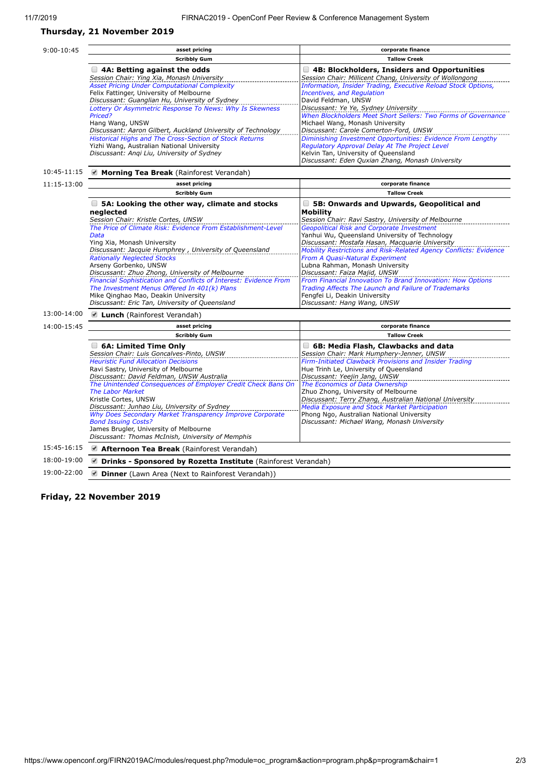## **Thursday, 21 November 2019**

| 9:00-10:45  | asset pricing                                                                                                                                                                                                                         | corporate finance                                                                                                                                                                                         |  |
|-------------|---------------------------------------------------------------------------------------------------------------------------------------------------------------------------------------------------------------------------------------|-----------------------------------------------------------------------------------------------------------------------------------------------------------------------------------------------------------|--|
|             | <b>Scribbly Gum</b>                                                                                                                                                                                                                   | <b>Tallow Creek</b>                                                                                                                                                                                       |  |
|             | $\Box$ 4A: Betting against the odds<br>Session Chair: Ying Xia, Monash University                                                                                                                                                     | $\Box$ 4B: Blockholders, Insiders and Opportunities<br>Session Chair: Millicent Chang, University of Wollongong                                                                                           |  |
|             | <b>Asset Pricing Under Computational Complexity</b><br>Felix Fattinger, University of Melbourne<br>Discussant: Guanglian Hu, University of Sydney<br>Lottery Or Asymmetric Response To News: Why Is Skewness                          | Information, Insider Trading, Executive Reload Stock Options,<br><b>Incentives, and Regulation</b><br>David Feldman, UNSW<br>Discussant: Ye Ye, Sydney University                                         |  |
|             | Priced?<br>Hang Wang, UNSW<br>Discussant: Aaron Gilbert, Auckland University of Technology                                                                                                                                            | When Blockholders Meet Short Sellers: Two Forms of Governance<br>Michael Wang, Monash University<br>Discussant: Carole Comerton-Ford, UNSW                                                                |  |
|             | Historical Highs and The Cross-Section of Stock Returns<br>Yizhi Wang, Australian National University<br>Discussant: Angi Liu, University of Sydney                                                                                   | Diminishing Investment Opportunities: Evidence From Lengthy<br>Regulatory Approval Delay At The Project Level<br>Kelvin Tan, University of Queensland<br>Discussant: Eden Quxian Zhang, Monash University |  |
| 10:45-11:15 | Morning Tea Break (Rainforest Verandah)                                                                                                                                                                                               |                                                                                                                                                                                                           |  |
| 11:15-13:00 | asset pricing                                                                                                                                                                                                                         | corporate finance                                                                                                                                                                                         |  |
|             | <b>Scribbly Gum</b>                                                                                                                                                                                                                   | <b>Tallow Creek</b>                                                                                                                                                                                       |  |
|             | $\Box$ 5A: Looking the other way, climate and stocks<br>nealected                                                                                                                                                                     | 5B: Onwards and Upwards, Geopolitical and<br><b>Mobility</b>                                                                                                                                              |  |
|             | Session Chair: Kristle Cortes, UNSW<br>The Price of Climate Risk: Evidence From Establishment-Level<br>Data                                                                                                                           | Session Chair: Ravi Sastry, University of Melbourne<br><b>Geopolitical Risk and Corporate Investment</b><br>Yanhui Wu, Queensland University of Technology                                                |  |
|             | Ying Xia, Monash University<br>Discussant: Jacquie Humphrey, University of Queensland<br><b>Rationally Neglected Stocks</b>                                                                                                           | Discussant: Mostafa Hasan, Macquarie University<br>Mobility Restrictions and Risk-Related Agency Conflicts: Evidence<br>From A Quasi-Natural Experiment                                                   |  |
|             | Arseny Gorbenko, UNSW<br>Discussant: Zhuo Zhong, University of Melbourne                                                                                                                                                              | Lubna Rahman, Monash University<br>Discussant: Faiza Majid, UNSW                                                                                                                                          |  |
|             | Financial Sophistication and Conflicts of Interest: Evidence From<br>The Investment Menus Offered In 401(k) Plans<br>Mike Qinghao Mao, Deakin University<br>Discussant: Eric Tan, University of Queensland                            | From Financial Innovation To Brand Innovation: How Options<br>Trading Affects The Launch and Failure of Trademarks<br>Fengfei Li, Deakin University<br>Discussant: Hang Wang, UNSW                        |  |
| 13:00-14:00 | ■ Lunch (Rainforest Verandah)                                                                                                                                                                                                         |                                                                                                                                                                                                           |  |
| 14:00-15:45 | asset pricing                                                                                                                                                                                                                         | corporate finance                                                                                                                                                                                         |  |
|             | <b>Scribbly Gum</b>                                                                                                                                                                                                                   | <b>Tallow Creek</b>                                                                                                                                                                                       |  |
|             | 6A: Limited Time Only<br>Session Chair: Luis Goncalves-Pinto, UNSW<br><b>Heuristic Fund Allocation Decisions</b>                                                                                                                      | 6B: Media Flash, Clawbacks and data<br>Session Chair: Mark Humphery-Jenner, UNSW<br>Firm-Initiated Clawback Provisions and Insider Trading                                                                |  |
|             | Ravi Sastry, University of Melbourne<br>Discussant: David Feldman, UNSW Australia                                                                                                                                                     | Hue Trinh Le, University of Queensland<br>Discussant: Yeejin Jang, UNSW<br>The Economics of Data Ownership                                                                                                |  |
|             | The Unintended Consequences of Employer Credit Check Bans On<br><b>The Labor Market</b><br>Kristle Cortes, UNSW                                                                                                                       | Zhuo Zhong, University of Melbourne<br>Discussant: Terry Zhang, Australian National University                                                                                                            |  |
|             | Discussant: Junhao Liu, University of Sydney<br>Why Does Secondary Market Transparency Improve Corporate<br><b>Bond Issuing Costs?</b><br>James Brugler, University of Melbourne<br>Discussant: Thomas McInish, University of Memphis | <b>Media Exposure and Stock Market Participation</b><br>Phong Ngo, Australian National University<br>Discussant: Michael Wang, Monash University                                                          |  |
| 15:45-16:15 | Afternoon Tea Break (Rainforest Verandah)                                                                                                                                                                                             |                                                                                                                                                                                                           |  |
| 18:00-19:00 | <b>Drinks - Sponsored by Rozetta Institute</b> (Rainforest Verandah)                                                                                                                                                                  |                                                                                                                                                                                                           |  |
| 19:00-22:00 | Dinner (Lawn Area (Next to Rainforest Verandah))                                                                                                                                                                                      |                                                                                                                                                                                                           |  |

**Friday, 22 November 2019**